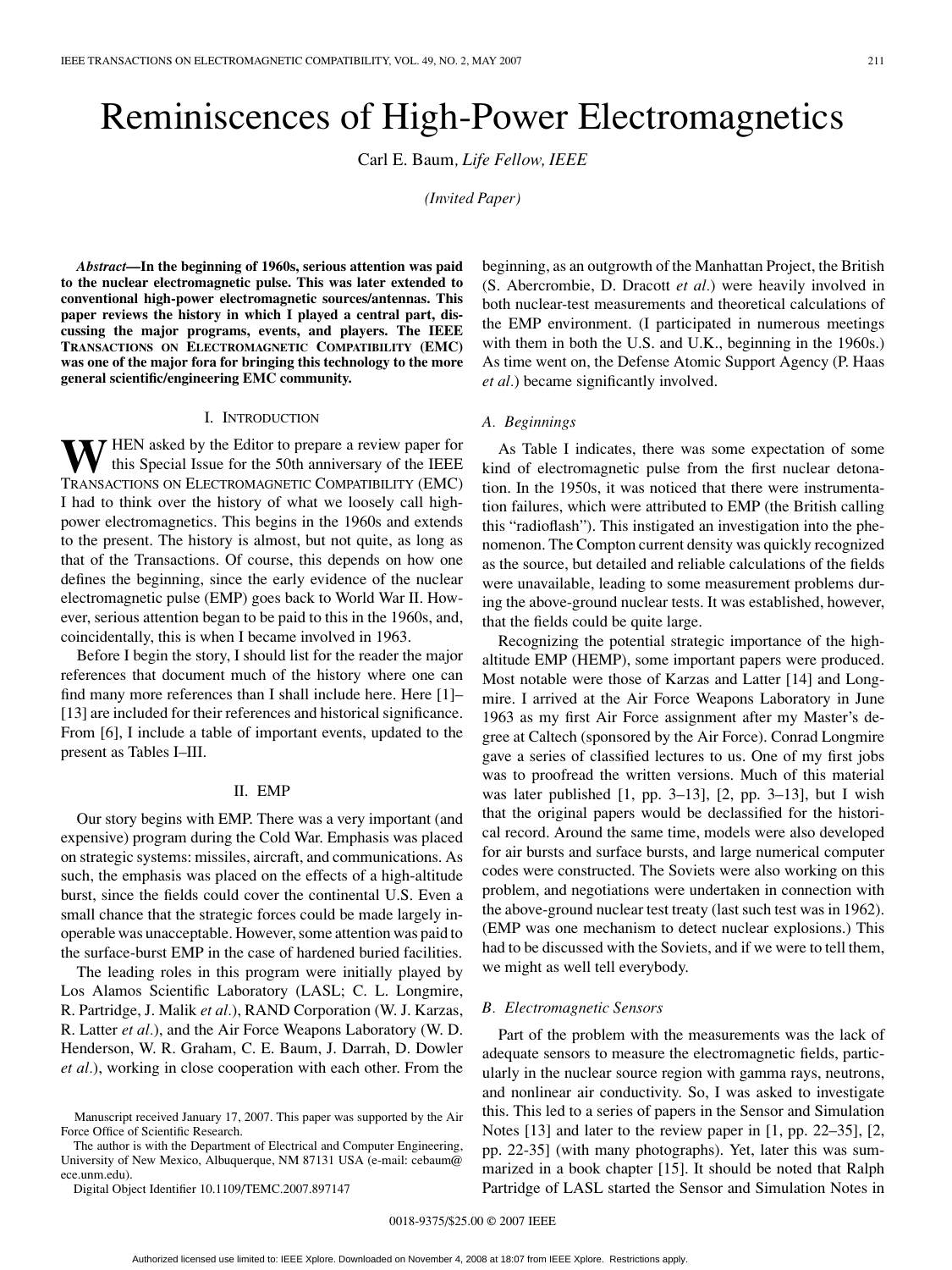# Reminiscences of High-Power Electromagnetics

Carl E. Baum*, Life Fellow, IEEE*

*(Invited Paper)*

*Abstract***—In the beginning of 1960s, serious attention was paid to the nuclear electromagnetic pulse. This was later extended to conventional high-power electromagnetic sources/antennas. This paper reviews the history in which I played a central part, discussing the major programs, events, and players. The IEEE TRANSACTIONS ON ELECTROMAGNETIC COMPATIBILITY (EMC) was one of the major fora for bringing this technology to the more general scientific/engineering EMC community.**

#### I. INTRODUCTION

**T** HEN asked by the Editor to prepare a review paper for this Special Issue for the 50th anniversary of the IEEE TRANSACTIONS ON ELECTROMAGNETIC COMPATIBILITY (EMC) I had to think over the history of what we loosely call highpower electromagnetics. This begins in the 1960s and extends to the present. The history is almost, but not quite, as long as that of the Transactions. Of course, this depends on how one defines the beginning, since the early evidence of the nuclear electromagnetic pulse (EMP) goes back to World War II. However, serious attention began to be paid to this in the 1960s, and, coincidentally, this is when I became involved in 1963.

Before I begin the story, I should list for the reader the major references that document much of the history where one can find many more references than I shall include here. Here [1]– [13] are included for their references and historical significance. From [6], I include a table of important events, updated to the present as Tables I–III.

# II. EMP

Our story begins with EMP. There was a very important (and expensive) program during the Cold War. Emphasis was placed on strategic systems: missiles, aircraft, and communications. As such, the emphasis was placed on the effects of a high-altitude burst, since the fields could cover the continental U.S. Even a small chance that the strategic forces could be made largely inoperable was unacceptable. However, some attention was paid to the surface-burst EMP in the case of hardened buried facilities.

The leading roles in this program were initially played by Los Alamos Scientific Laboratory (LASL; C. L. Longmire, R. Partridge, J. Malik *et al.*), RAND Corporation (W. J. Karzas, R. Latter *et al.*), and the Air Force Weapons Laboratory (W. D. Henderson, W. R. Graham, C. E. Baum, J. Darrah, D. Dowler *et al.*), working in close cooperation with each other. From the

The author is with the Department of Electrical and Computer Engineering, University of New Mexico, Albuquerque, NM 87131 USA (e-mail: cebaum@ ece.unm.edu).

Digital Object Identifier 10.1109/TEMC.2007.897147

beginning, as an outgrowth of the Manhattan Project, the British (S. Abercrombie, D. Dracott *et al.*) were heavily involved in both nuclear-test measurements and theoretical calculations of the EMP environment. (I participated in numerous meetings with them in both the U.S. and U.K., beginning in the 1960s.) As time went on, the Defense Atomic Support Agency (P. Haas *et al.*) became significantly involved.

## *A. Beginnings*

As Table I indicates, there was some expectation of some kind of electromagnetic pulse from the first nuclear detonation. In the 1950s, it was noticed that there were instrumentation failures, which were attributed to EMP (the British calling this "radioflash"). This instigated an investigation into the phenomenon. The Compton current density was quickly recognized as the source, but detailed and reliable calculations of the fields were unavailable, leading to some measurement problems during the above-ground nuclear tests. It was established, however, that the fields could be quite large.

Recognizing the potential strategic importance of the highaltitude EMP (HEMP), some important papers were produced. Most notable were those of Karzas and Latter [14] and Longmire. I arrived at the Air Force Weapons Laboratory in June 1963 as my first Air Force assignment after my Master's degree at Caltech (sponsored by the Air Force). Conrad Longmire gave a series of classified lectures to us. One of my first jobs was to proofread the written versions. Much of this material was later published [1, pp. 3–13], [2, pp. 3–13], but I wish that the original papers would be declassified for the historical record. Around the same time, models were also developed for air bursts and surface bursts, and large numerical computer codes were constructed. The Soviets were also working on this problem, and negotiations were undertaken in connection with the above-ground nuclear test treaty (last such test was in 1962). (EMP was one mechanism to detect nuclear explosions.) This had to be discussed with the Soviets, and if we were to tell them, we might as well tell everybody.

## *B. Electromagnetic Sensors*

Part of the problem with the measurements was the lack of adequate sensors to measure the electromagnetic fields, particularly in the nuclear source region with gamma rays, neutrons, and nonlinear air conductivity. So, I was asked to investigate this. This led to a series of papers in the Sensor and Simulation Notes [13] and later to the review paper in [1, pp. 22–35], [2, pp. 22-35] (with many photographs). Yet, later this was summarized in a book chapter [15]. It should be noted that Ralph Partridge of LASL started the Sensor and Simulation Notes in

Manuscript received January 17, 2007. This paper was supported by the Air Force Office of Scientific Research.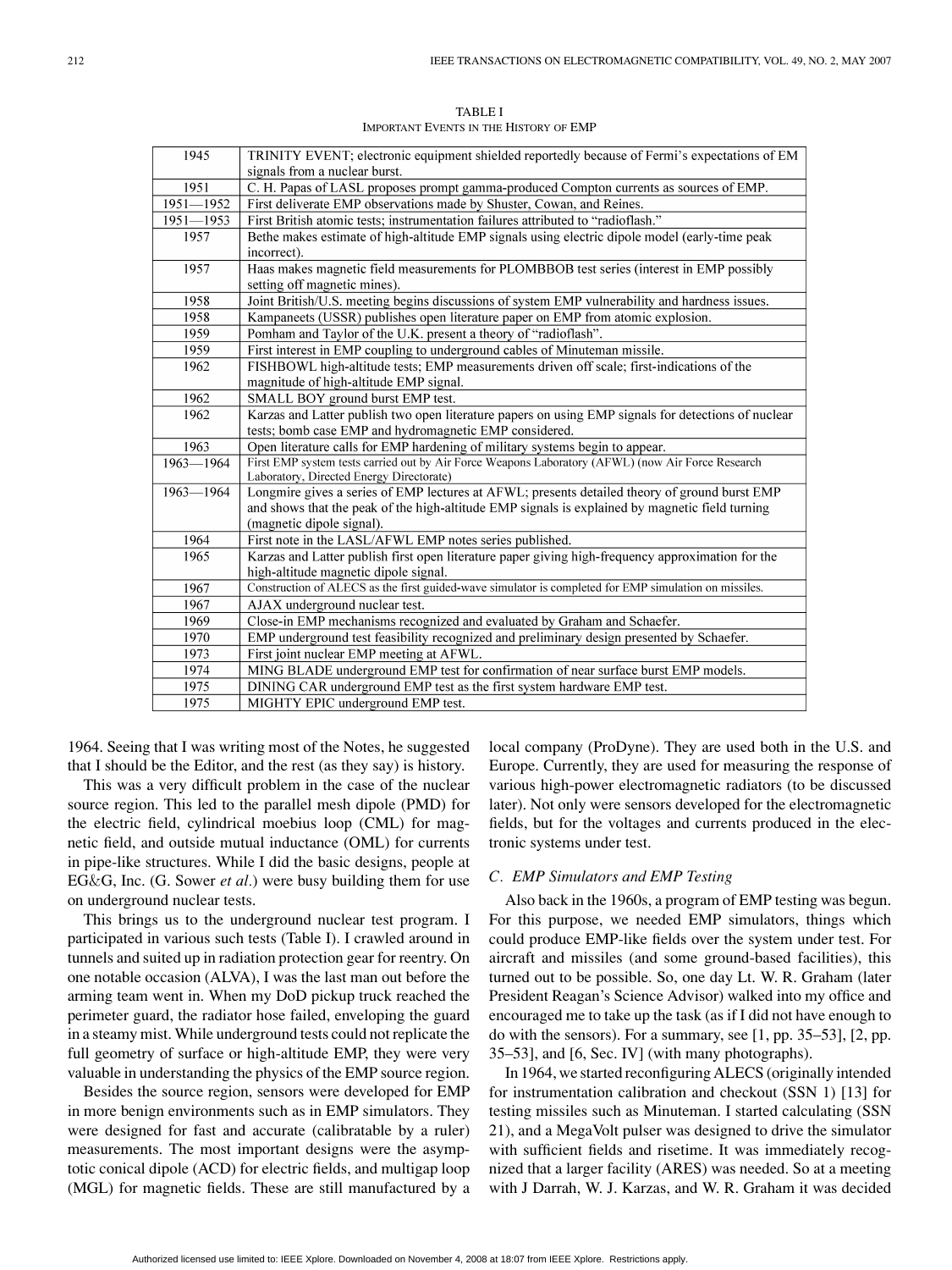| <b>TABLE I</b>                                |  |  |  |
|-----------------------------------------------|--|--|--|
| <b>IMPORTANT EVENTS IN THE HISTORY OF EMP</b> |  |  |  |

| 1945          | TRINITY EVENT; electronic equipment shielded reportedly because of Fermi's expectations of EM<br>signals from a nuclear burst. |  |  |  |  |
|---------------|--------------------------------------------------------------------------------------------------------------------------------|--|--|--|--|
| 1951          | C. H. Papas of LASL proposes prompt gamma-produced Compton currents as sources of EMP.                                         |  |  |  |  |
| $1951 - 1952$ | First deliverate EMP observations made by Shuster, Cowan, and Reines.                                                          |  |  |  |  |
| $1951 - 1953$ | First British atomic tests; instrumentation failures attributed to "radioflash."                                               |  |  |  |  |
| 1957          | Bethe makes estimate of high-altitude EMP signals using electric dipole model (early-time peak<br>incorrect).                  |  |  |  |  |
| 1957          | Haas makes magnetic field measurements for PLOMBBOB test series (interest in EMP possibly<br>setting off magnetic mines).      |  |  |  |  |
| 1958          | Joint British/U.S. meeting begins discussions of system EMP vulnerability and hardness issues.                                 |  |  |  |  |
| 1958          | Kampaneets (USSR) publishes open literature paper on EMP from atomic explosion.                                                |  |  |  |  |
| 1959          | Pomham and Taylor of the U.K. present a theory of "radioflash".                                                                |  |  |  |  |
| 1959          | First interest in EMP coupling to underground cables of Minuteman missile.                                                     |  |  |  |  |
| 1962          | FISHBOWL high-altitude tests; EMP measurements driven off scale; first-indications of the                                      |  |  |  |  |
|               | magnitude of high-altitude EMP signal.                                                                                         |  |  |  |  |
| 1962          | SMALL BOY ground burst EMP test.                                                                                               |  |  |  |  |
| 1962          | Karzas and Latter publish two open literature papers on using EMP signals for detections of nuclear                            |  |  |  |  |
|               | tests; bomb case EMP and hydromagnetic EMP considered.                                                                         |  |  |  |  |
| 1963          | Open literature calls for EMP hardening of military systems begin to appear.                                                   |  |  |  |  |
| $1963 - 1964$ | First EMP system tests carried out by Air Force Weapons Laboratory (AFWL) (now Air Force Research                              |  |  |  |  |
|               | Laboratory, Directed Energy Directorate)                                                                                       |  |  |  |  |
| $1963 - 1964$ | Longmire gives a series of EMP lectures at AFWL; presents detailed theory of ground burst EMP                                  |  |  |  |  |
|               | and shows that the peak of the high-altitude EMP signals is explained by magnetic field turning                                |  |  |  |  |
|               | (magnetic dipole signal).                                                                                                      |  |  |  |  |
| 1964          | First note in the LASL/AFWL EMP notes series published.                                                                        |  |  |  |  |
| 1965          | Karzas and Latter publish first open literature paper giving high-frequency approximation for the                              |  |  |  |  |
|               | high-altitude magnetic dipole signal.                                                                                          |  |  |  |  |
| 1967          | Construction of ALECS as the first guided-wave simulator is completed for EMP simulation on missiles.                          |  |  |  |  |
| 1967          | AJAX underground nuclear test.                                                                                                 |  |  |  |  |
| 1969          | Close-in EMP mechanisms recognized and evaluated by Graham and Schaefer.                                                       |  |  |  |  |
| 1970          | EMP underground test feasibility recognized and preliminary design presented by Schaefer.                                      |  |  |  |  |
| 1973          | First joint nuclear EMP meeting at AFWL.                                                                                       |  |  |  |  |
| 1974          | MING BLADE underground EMP test for confirmation of near surface burst EMP models.                                             |  |  |  |  |
| 1975          | DINING CAR underground EMP test as the first system hardware EMP test.                                                         |  |  |  |  |
| 1975          | MIGHTY EPIC underground EMP test.                                                                                              |  |  |  |  |

1964. Seeing that I was writing most of the Notes, he suggested that I should be the Editor, and the rest (as they say) is history.

This was a very difficult problem in the case of the nuclear source region. This led to the parallel mesh dipole (PMD) for the electric field, cylindrical moebius loop (CML) for magnetic field, and outside mutual inductance (OML) for currents in pipe-like structures. While I did the basic designs, people at EG&G, Inc. (G. Sower *et al.*) were busy building them for use on underground nuclear tests.

This brings us to the underground nuclear test program. I participated in various such tests (Table I). I crawled around in tunnels and suited up in radiation protection gear for reentry. On one notable occasion (ALVA), I was the last man out before the arming team went in. When my DoD pickup truck reached the perimeter guard, the radiator hose failed, enveloping the guard in a steamy mist. While underground tests could not replicate the full geometry of surface or high-altitude EMP, they were very valuable in understanding the physics of the EMP source region.

Besides the source region, sensors were developed for EMP in more benign environments such as in EMP simulators. They were designed for fast and accurate (calibratable by a ruler) measurements. The most important designs were the asymptotic conical dipole (ACD) for electric fields, and multigap loop (MGL) for magnetic fields. These are still manufactured by a

local company (ProDyne). They are used both in the U.S. and Europe. Currently, they are used for measuring the response of various high-power electromagnetic radiators (to be discussed later). Not only were sensors developed for the electromagnetic fields, but for the voltages and currents produced in the electronic systems under test.

## *C. EMP Simulators and EMP Testing*

Also back in the 1960s, a program of EMP testing was begun. For this purpose, we needed EMP simulators, things which could produce EMP-like fields over the system under test. For aircraft and missiles (and some ground-based facilities), this turned out to be possible. So, one day Lt. W. R. Graham (later President Reagan's Science Advisor) walked into my office and encouraged me to take up the task (as if I did not have enough to do with the sensors). For a summary, see  $[1, pp. 35-53]$ ,  $[2, pp. 35-53]$ 35–53], and [6, Sec. IV] (with many photographs).

In 1964, we started reconfiguring ALECS (originally intended for instrumentation calibration and checkout (SSN 1) [13] for testing missiles such as Minuteman. I started calculating (SSN 21), and a MegaVolt pulser was designed to drive the simulator with sufficient fields and risetime. It was immediately recognized that a larger facility (ARES) was needed. So at a meeting with J Darrah, W. J. Karzas, and W. R. Graham it was decided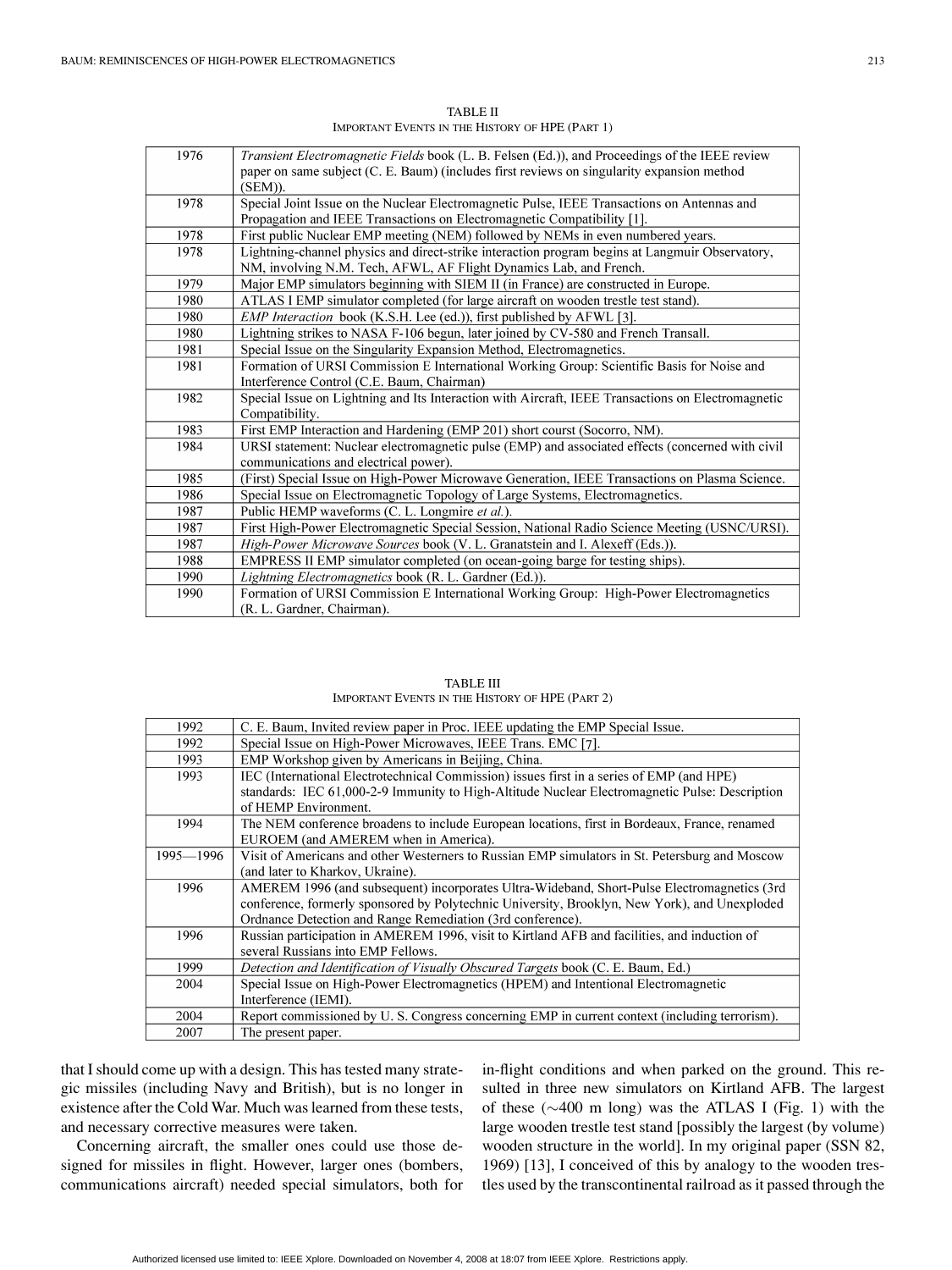| 1976 | Transient Electromagnetic Fields book (L. B. Felsen (Ed.)), and Proceedings of the IEEE review     |  |  |  |
|------|----------------------------------------------------------------------------------------------------|--|--|--|
|      | paper on same subject (C. E. Baum) (includes first reviews on singularity expansion method         |  |  |  |
|      | $(SEM)$ ).                                                                                         |  |  |  |
| 1978 | Special Joint Issue on the Nuclear Electromagnetic Pulse, IEEE Transactions on Antennas and        |  |  |  |
|      | Propagation and IEEE Transactions on Electromagnetic Compatibility [1].                            |  |  |  |
| 1978 | First public Nuclear EMP meeting (NEM) followed by NEMs in even numbered years.                    |  |  |  |
| 1978 | Lightning-channel physics and direct-strike interaction program begins at Langmuir Observatory,    |  |  |  |
|      | NM, involving N.M. Tech, AFWL, AF Flight Dynamics Lab, and French.                                 |  |  |  |
| 1979 | Major EMP simulators beginning with SIEM II (in France) are constructed in Europe.                 |  |  |  |
| 1980 | ATLAS I EMP simulator completed (for large aircraft on wooden trestle test stand).                 |  |  |  |
| 1980 | EMP Interaction book (K.S.H. Lee (ed.)), first published by AFWL [3].                              |  |  |  |
| 1980 | Lightning strikes to NASA F-106 begun, later joined by CV-580 and French Transall.                 |  |  |  |
| 1981 | Special Issue on the Singularity Expansion Method, Electromagnetics.                               |  |  |  |
| 1981 | Formation of URSI Commission E International Working Group: Scientific Basis for Noise and         |  |  |  |
|      | Interference Control (C.E. Baum, Chairman)                                                         |  |  |  |
| 1982 | Special Issue on Lightning and Its Interaction with Aircraft, IEEE Transactions on Electromagnetic |  |  |  |
|      | Compatibility.                                                                                     |  |  |  |
| 1983 | First EMP Interaction and Hardening (EMP 201) short courst (Socorro, NM).                          |  |  |  |
| 1984 | URSI statement: Nuclear electromagnetic pulse (EMP) and associated effects (concerned with civil   |  |  |  |
|      | communications and electrical power).                                                              |  |  |  |
| 1985 | (First) Special Issue on High-Power Microwave Generation, IEEE Transactions on Plasma Science.     |  |  |  |
| 1986 | Special Issue on Electromagnetic Topology of Large Systems, Electromagnetics.                      |  |  |  |
| 1987 | Public HEMP waveforms (C. L. Longmire et al.).                                                     |  |  |  |
| 1987 | First High-Power Electromagnetic Special Session, National Radio Science Meeting (USNC/URSI).      |  |  |  |
| 1987 | High-Power Microwave Sources book (V. L. Granatstein and I. Alexeff (Eds.)).                       |  |  |  |
| 1988 | EMPRESS II EMP simulator completed (on ocean-going barge for testing ships).                       |  |  |  |
| 1990 | Lightning Electromagnetics book (R. L. Gardner (Ed.)).                                             |  |  |  |
| 1990 | Formation of URSI Commission E International Working Group: High-Power Electromagnetics            |  |  |  |
|      | (R. L. Gardner, Chairman).                                                                         |  |  |  |

TABLE II IMPORTANT EVENTS IN THE HISTORY OF HPE (PART 1)

|                                                 | <b>TABLE III</b> |  |  |
|-------------------------------------------------|------------------|--|--|
| IMPORTANT EVENTS IN THE HISTORY OF HPE (PART 2) |                  |  |  |

| 1992      | C. E. Baum, Invited review paper in Proc. IEEE updating the EMP Special Issue.                 |
|-----------|------------------------------------------------------------------------------------------------|
| 1992      | Special Issue on High-Power Microwaves, IEEE Trans. EMC [7].                                   |
| 1993      | EMP Workshop given by Americans in Beijing, China.                                             |
| 1993      | IEC (International Electrotechnical Commission) issues first in a series of EMP (and HPE)      |
|           | standards: IEC 61,000-2-9 Immunity to High-Altitude Nuclear Electromagnetic Pulse: Description |
|           | of HEMP Environment.                                                                           |
| 1994      | The NEM conference broadens to include European locations, first in Bordeaux, France, renamed  |
|           | EUROEM (and AMEREM when in America).                                                           |
| 1995—1996 | Visit of Americans and other Westerners to Russian EMP simulators in St. Petersburg and Moscow |
|           | (and later to Kharkov, Ukraine).                                                               |
| 1996      | AMEREM 1996 (and subsequent) incorporates Ultra-Wideband, Short-Pulse Electromagnetics (3rd    |
|           | conference, formerly sponsored by Polytechnic University, Brooklyn, New York), and Unexploded  |
|           | Ordnance Detection and Range Remediation (3rd conference).                                     |
| 1996      | Russian participation in AMEREM 1996, visit to Kirtland AFB and facilities, and induction of   |
|           | several Russians into EMP Fellows.                                                             |
| 1999      | Detection and Identification of Visually Obscured Targets book (C. E. Baum, Ed.)               |
| 2004      | Special Issue on High-Power Electromagnetics (HPEM) and Intentional Electromagnetic            |
|           | Interference (IEMI).                                                                           |
| 2004      | Report commissioned by U.S. Congress concerning EMP in current context (including terrorism).  |
| 2007      | The present paper.                                                                             |

that I should come up with a design. This has tested many strategic missiles (including Navy and British), but is no longer in existence after the Cold War. Much was learned from these tests, and necessary corrective measures were taken.

Concerning aircraft, the smaller ones could use those designed for missiles in flight. However, larger ones (bombers, communications aircraft) needed special simulators, both for in-flight conditions and when parked on the ground. This resulted in three new simulators on Kirtland AFB. The largest of these (∼400 m long) was the ATLAS I (Fig. 1) with the large wooden trestle test stand [possibly the largest (by volume) wooden structure in the world]. In my original paper (SSN 82, 1969) [13], I conceived of this by analogy to the wooden trestles used by the transcontinental railroad as it passed through the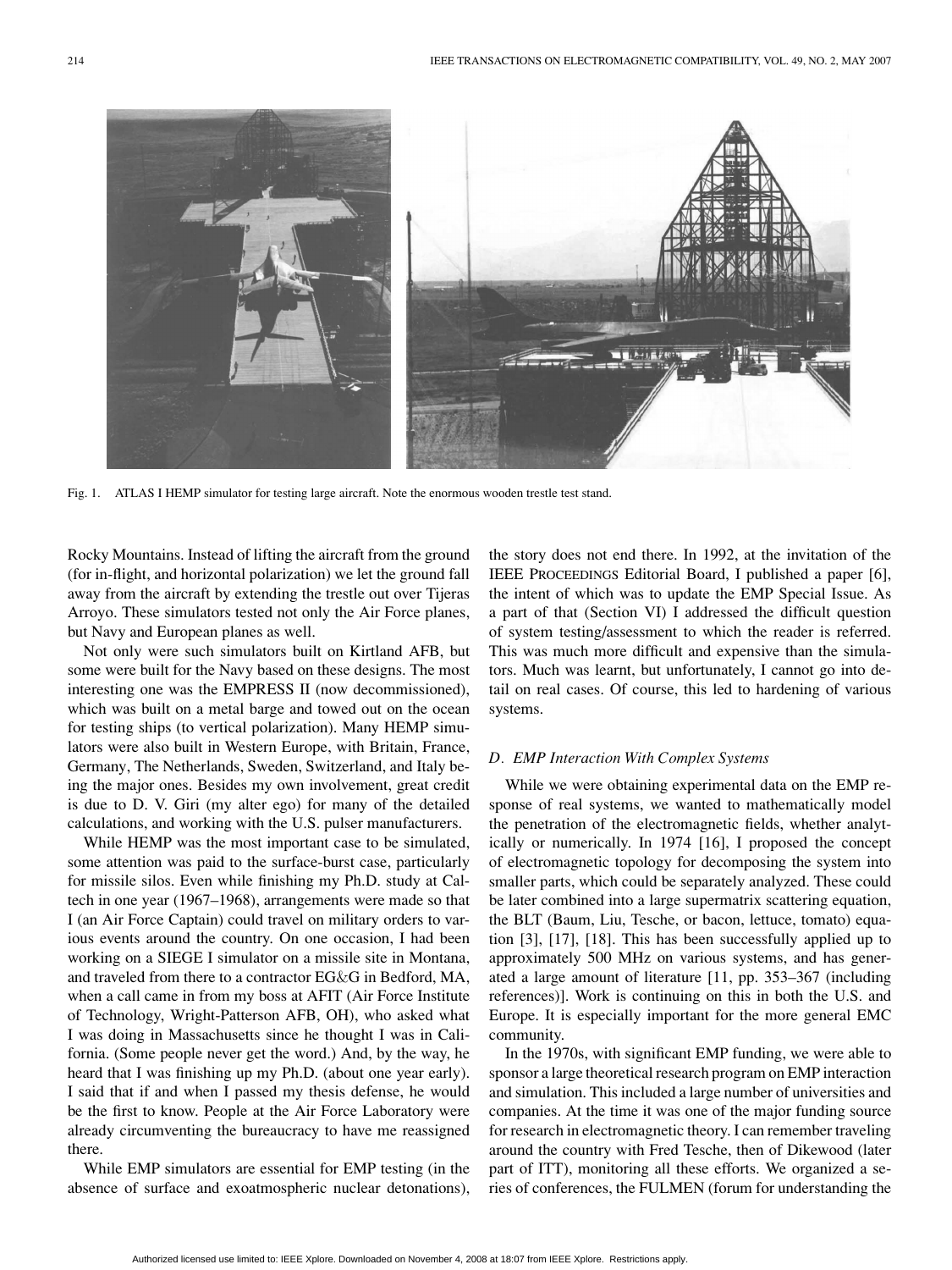

Fig. 1. ATLAS I HEMP simulator for testing large aircraft. Note the enormous wooden trestle test stand.

Rocky Mountains. Instead of lifting the aircraft from the ground (for in-flight, and horizontal polarization) we let the ground fall away from the aircraft by extending the trestle out over Tijeras Arroyo. These simulators tested not only the Air Force planes, but Navy and European planes as well.

Not only were such simulators built on Kirtland AFB, but some were built for the Navy based on these designs. The most interesting one was the EMPRESS II (now decommissioned), which was built on a metal barge and towed out on the ocean for testing ships (to vertical polarization). Many HEMP simulators were also built in Western Europe, with Britain, France, Germany, The Netherlands, Sweden, Switzerland, and Italy being the major ones. Besides my own involvement, great credit is due to D. V. Giri (my alter ego) for many of the detailed calculations, and working with the U.S. pulser manufacturers.

While HEMP was the most important case to be simulated, some attention was paid to the surface-burst case, particularly for missile silos. Even while finishing my Ph.D. study at Caltech in one year (1967–1968), arrangements were made so that I (an Air Force Captain) could travel on military orders to various events around the country. On one occasion, I had been working on a SIEGE I simulator on a missile site in Montana, and traveled from there to a contractor EG&G in Bedford, MA, when a call came in from my boss at AFIT (Air Force Institute of Technology, Wright-Patterson AFB, OH), who asked what I was doing in Massachusetts since he thought I was in California. (Some people never get the word.) And, by the way, he heard that I was finishing up my Ph.D. (about one year early). I said that if and when I passed my thesis defense, he would be the first to know. People at the Air Force Laboratory were already circumventing the bureaucracy to have me reassigned there.

While EMP simulators are essential for EMP testing (in the absence of surface and exoatmospheric nuclear detonations),

the story does not end there. In 1992, at the invitation of the IEEE PROCEEDINGS Editorial Board, I published a paper [6], the intent of which was to update the EMP Special Issue. As a part of that (Section VI) I addressed the difficult question of system testing/assessment to which the reader is referred. This was much more difficult and expensive than the simulators. Much was learnt, but unfortunately, I cannot go into detail on real cases. Of course, this led to hardening of various systems.

## *D. EMP Interaction With Complex Systems*

While we were obtaining experimental data on the EMP response of real systems, we wanted to mathematically model the penetration of the electromagnetic fields, whether analytically or numerically. In 1974 [16], I proposed the concept of electromagnetic topology for decomposing the system into smaller parts, which could be separately analyzed. These could be later combined into a large supermatrix scattering equation, the BLT (Baum, Liu, Tesche, or bacon, lettuce, tomato) equation [3], [17], [18]. This has been successfully applied up to approximately 500 MHz on various systems, and has generated a large amount of literature [11, pp. 353–367 (including references)]. Work is continuing on this in both the U.S. and Europe. It is especially important for the more general EMC community.

In the 1970s, with significant EMP funding, we were able to sponsor a large theoretical research program on EMP interaction and simulation. This included a large number of universities and companies. At the time it was one of the major funding source for research in electromagnetic theory. I can remember traveling around the country with Fred Tesche, then of Dikewood (later part of ITT), monitoring all these efforts. We organized a series of conferences, the FULMEN (forum for understanding the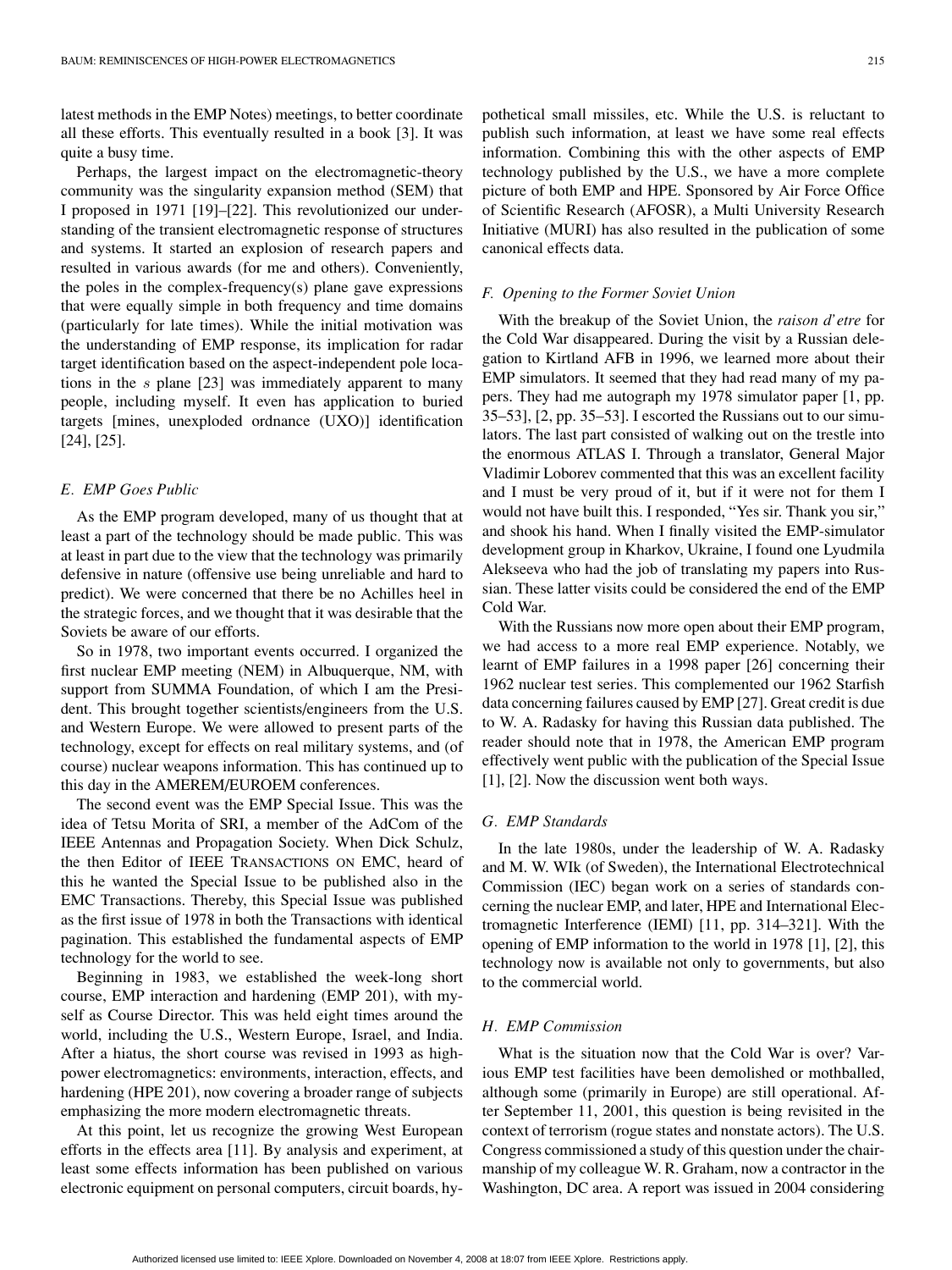latest methods in the EMP Notes) meetings, to better coordinate all these efforts. This eventually resulted in a book [3]. It was quite a busy time.

Perhaps, the largest impact on the electromagnetic-theory community was the singularity expansion method (SEM) that I proposed in 1971 [19]–[22]. This revolutionized our understanding of the transient electromagnetic response of structures and systems. It started an explosion of research papers and resulted in various awards (for me and others). Conveniently, the poles in the complex-frequency(s) plane gave expressions that were equally simple in both frequency and time domains (particularly for late times). While the initial motivation was the understanding of EMP response, its implication for radar target identification based on the aspect-independent pole locations in the  $s$  plane [23] was immediately apparent to many people, including myself. It even has application to buried targets [mines, unexploded ordnance (UXO)] identification [24], [25].

#### *E. EMP Goes Public*

As the EMP program developed, many of us thought that at least a part of the technology should be made public. This was at least in part due to the view that the technology was primarily defensive in nature (offensive use being unreliable and hard to predict). We were concerned that there be no Achilles heel in the strategic forces, and we thought that it was desirable that the Soviets be aware of our efforts.

So in 1978, two important events occurred. I organized the first nuclear EMP meeting (NEM) in Albuquerque, NM, with support from SUMMA Foundation, of which I am the President. This brought together scientists/engineers from the U.S. and Western Europe. We were allowed to present parts of the technology, except for effects on real military systems, and (of course) nuclear weapons information. This has continued up to this day in the AMEREM/EUROEM conferences.

The second event was the EMP Special Issue. This was the idea of Tetsu Morita of SRI, a member of the AdCom of the IEEE Antennas and Propagation Society. When Dick Schulz, the then Editor of IEEE TRANSACTIONS ON EMC, heard of this he wanted the Special Issue to be published also in the EMC Transactions. Thereby, this Special Issue was published as the first issue of 1978 in both the Transactions with identical pagination. This established the fundamental aspects of EMP technology for the world to see.

Beginning in 1983, we established the week-long short course, EMP interaction and hardening (EMP 201), with myself as Course Director. This was held eight times around the world, including the U.S., Western Europe, Israel, and India. After a hiatus, the short course was revised in 1993 as highpower electromagnetics: environments, interaction, effects, and hardening (HPE 201), now covering a broader range of subjects emphasizing the more modern electromagnetic threats.

At this point, let us recognize the growing West European efforts in the effects area [11]. By analysis and experiment, at least some effects information has been published on various electronic equipment on personal computers, circuit boards, hypothetical small missiles, etc. While the U.S. is reluctant to publish such information, at least we have some real effects information. Combining this with the other aspects of EMP technology published by the U.S., we have a more complete picture of both EMP and HPE. Sponsored by Air Force Office of Scientific Research (AFOSR), a Multi University Research Initiative (MURI) has also resulted in the publication of some canonical effects data.

## *F. Opening to the Former Soviet Union*

With the breakup of the Soviet Union, the *raison d'etre* for the Cold War disappeared. During the visit by a Russian delegation to Kirtland AFB in 1996, we learned more about their EMP simulators. It seemed that they had read many of my papers. They had me autograph my 1978 simulator paper [1, pp. 35–53], [2, pp. 35–53]. I escorted the Russians out to our simulators. The last part consisted of walking out on the trestle into the enormous ATLAS I. Through a translator, General Major Vladimir Loborev commented that this was an excellent facility and I must be very proud of it, but if it were not for them I would not have built this. I responded, "Yes sir. Thank you sir," and shook his hand. When I finally visited the EMP-simulator development group in Kharkov, Ukraine, I found one Lyudmila Alekseeva who had the job of translating my papers into Russian. These latter visits could be considered the end of the EMP Cold War.

With the Russians now more open about their EMP program, we had access to a more real EMP experience. Notably, we learnt of EMP failures in a 1998 paper [26] concerning their 1962 nuclear test series. This complemented our 1962 Starfish data concerning failures caused by EMP [27]. Great credit is due to W. A. Radasky for having this Russian data published. The reader should note that in 1978, the American EMP program effectively went public with the publication of the Special Issue [1], [2]. Now the discussion went both ways.

# *G. EMP Standards*

In the late 1980s, under the leadership of W. A. Radasky and M. W. WIk (of Sweden), the International Electrotechnical Commission (IEC) began work on a series of standards concerning the nuclear EMP, and later, HPE and International Electromagnetic Interference (IEMI) [11, pp. 314–321]. With the opening of EMP information to the world in 1978 [1], [2], this technology now is available not only to governments, but also to the commercial world.

### *H. EMP Commission*

What is the situation now that the Cold War is over? Various EMP test facilities have been demolished or mothballed, although some (primarily in Europe) are still operational. After September 11, 2001, this question is being revisited in the context of terrorism (rogue states and nonstate actors). The U.S. Congress commissioned a study of this question under the chairmanship of my colleague W. R. Graham, now a contractor in the Washington, DC area. A report was issued in 2004 considering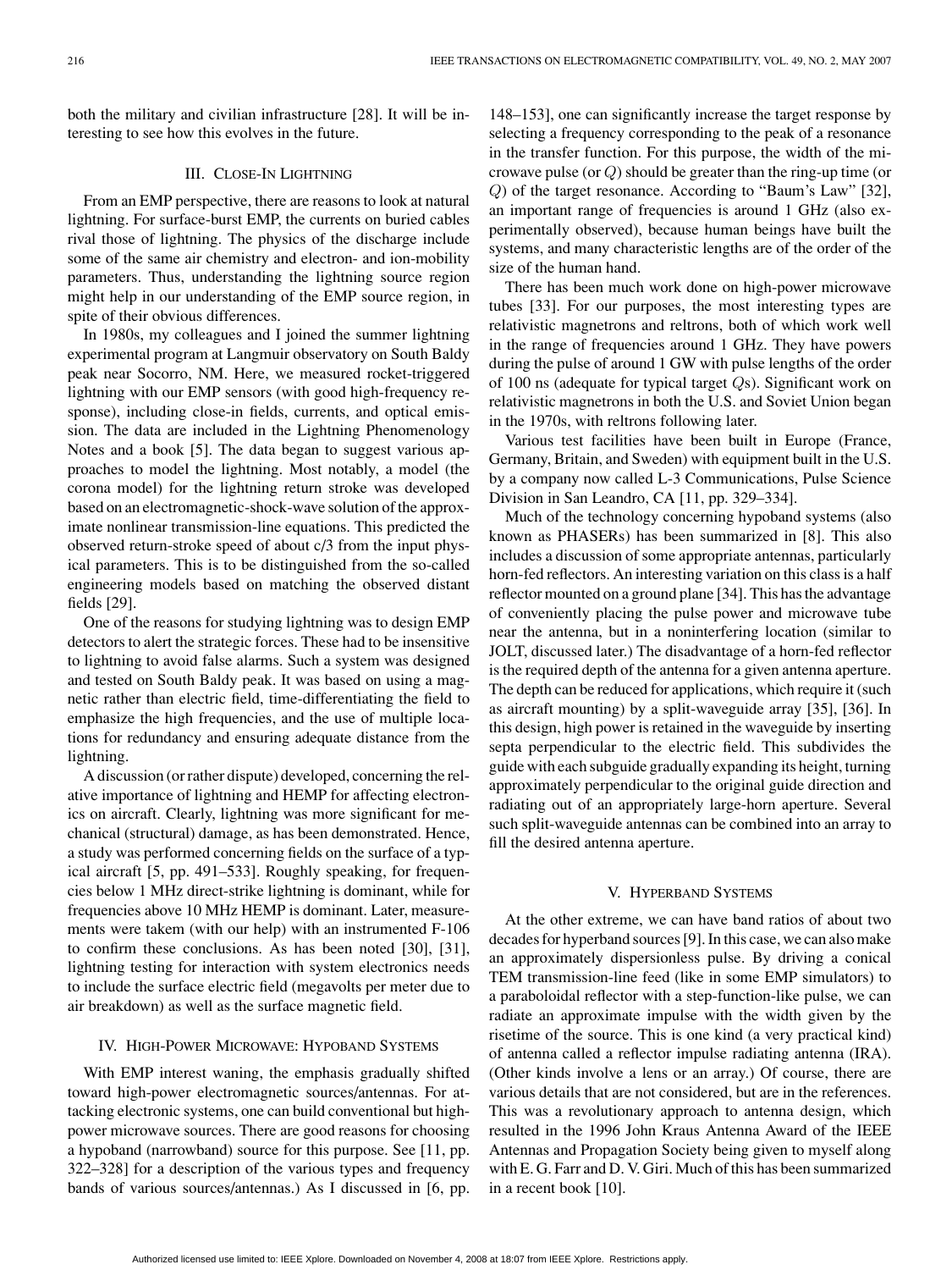both the military and civilian infrastructure [28]. It will be interesting to see how this evolves in the future.

# III. CLOSE-IN LIGHTNING

From an EMP perspective, there are reasons to look at natural lightning. For surface-burst EMP, the currents on buried cables rival those of lightning. The physics of the discharge include some of the same air chemistry and electron- and ion-mobility parameters. Thus, understanding the lightning source region might help in our understanding of the EMP source region, in spite of their obvious differences.

In 1980s, my colleagues and I joined the summer lightning experimental program at Langmuir observatory on South Baldy peak near Socorro, NM. Here, we measured rocket-triggered lightning with our EMP sensors (with good high-frequency response), including close-in fields, currents, and optical emission. The data are included in the Lightning Phenomenology Notes and a book [5]. The data began to suggest various approaches to model the lightning. Most notably, a model (the corona model) for the lightning return stroke was developed based on an electromagnetic-shock-wave solution of the approximate nonlinear transmission-line equations. This predicted the observed return-stroke speed of about c/3 from the input physical parameters. This is to be distinguished from the so-called engineering models based on matching the observed distant fields [29].

One of the reasons for studying lightning was to design EMP detectors to alert the strategic forces. These had to be insensitive to lightning to avoid false alarms. Such a system was designed and tested on South Baldy peak. It was based on using a magnetic rather than electric field, time-differentiating the field to emphasize the high frequencies, and the use of multiple locations for redundancy and ensuring adequate distance from the lightning.

A discussion (or rather dispute) developed, concerning the relative importance of lightning and HEMP for affecting electronics on aircraft. Clearly, lightning was more significant for mechanical (structural) damage, as has been demonstrated. Hence, a study was performed concerning fields on the surface of a typical aircraft [5, pp. 491–533]. Roughly speaking, for frequencies below 1 MHz direct-strike lightning is dominant, while for frequencies above 10 MHz HEMP is dominant. Later, measurements were takem (with our help) with an instrumented F-106 to confirm these conclusions. As has been noted [30], [31], lightning testing for interaction with system electronics needs to include the surface electric field (megavolts per meter due to air breakdown) as well as the surface magnetic field.

### IV. HIGH-POWER MICROWAVE: HYPOBAND SYSTEMS

With EMP interest waning, the emphasis gradually shifted toward high-power electromagnetic sources/antennas. For attacking electronic systems, one can build conventional but highpower microwave sources. There are good reasons for choosing a hypoband (narrowband) source for this purpose. See [11, pp. 322–328] for a description of the various types and frequency bands of various sources/antennas.) As I discussed in [6, pp. 148–153], one can significantly increase the target response by selecting a frequency corresponding to the peak of a resonance in the transfer function. For this purpose, the width of the microwave pulse (or  $Q$ ) should be greater than the ring-up time (or Q) of the target resonance. According to "Baum's Law" [32], an important range of frequencies is around 1 GHz (also experimentally observed), because human beings have built the systems, and many characteristic lengths are of the order of the size of the human hand.

There has been much work done on high-power microwave tubes [33]. For our purposes, the most interesting types are relativistic magnetrons and reltrons, both of which work well in the range of frequencies around 1 GHz. They have powers during the pulse of around 1 GW with pulse lengths of the order of 100 ns (adequate for typical target Qs). Significant work on relativistic magnetrons in both the U.S. and Soviet Union began in the 1970s, with reltrons following later.

Various test facilities have been built in Europe (France, Germany, Britain, and Sweden) with equipment built in the U.S. by a company now called L-3 Communications, Pulse Science Division in San Leandro, CA [11, pp. 329–334].

Much of the technology concerning hypoband systems (also known as PHASERs) has been summarized in [8]. This also includes a discussion of some appropriate antennas, particularly horn-fed reflectors. An interesting variation on this class is a half reflector mounted on a ground plane [34]. This has the advantage of conveniently placing the pulse power and microwave tube near the antenna, but in a noninterfering location (similar to JOLT, discussed later.) The disadvantage of a horn-fed reflector is the required depth of the antenna for a given antenna aperture. The depth can be reduced for applications, which require it (such as aircraft mounting) by a split-waveguide array [35], [36]. In this design, high power is retained in the waveguide by inserting septa perpendicular to the electric field. This subdivides the guide with each subguide gradually expanding its height, turning approximately perpendicular to the original guide direction and radiating out of an appropriately large-horn aperture. Several such split-waveguide antennas can be combined into an array to fill the desired antenna aperture.

#### V. HYPERBAND SYSTEMS

At the other extreme, we can have band ratios of about two decades for hyperband sources [9]. In this case, we can also make an approximately dispersionless pulse. By driving a conical TEM transmission-line feed (like in some EMP simulators) to a paraboloidal reflector with a step-function-like pulse, we can radiate an approximate impulse with the width given by the risetime of the source. This is one kind (a very practical kind) of antenna called a reflector impulse radiating antenna (IRA). (Other kinds involve a lens or an array.) Of course, there are various details that are not considered, but are in the references. This was a revolutionary approach to antenna design, which resulted in the 1996 John Kraus Antenna Award of the IEEE Antennas and Propagation Society being given to myself along with E. G. Farr and D. V. Giri. Much of this has been summarized in a recent book [10].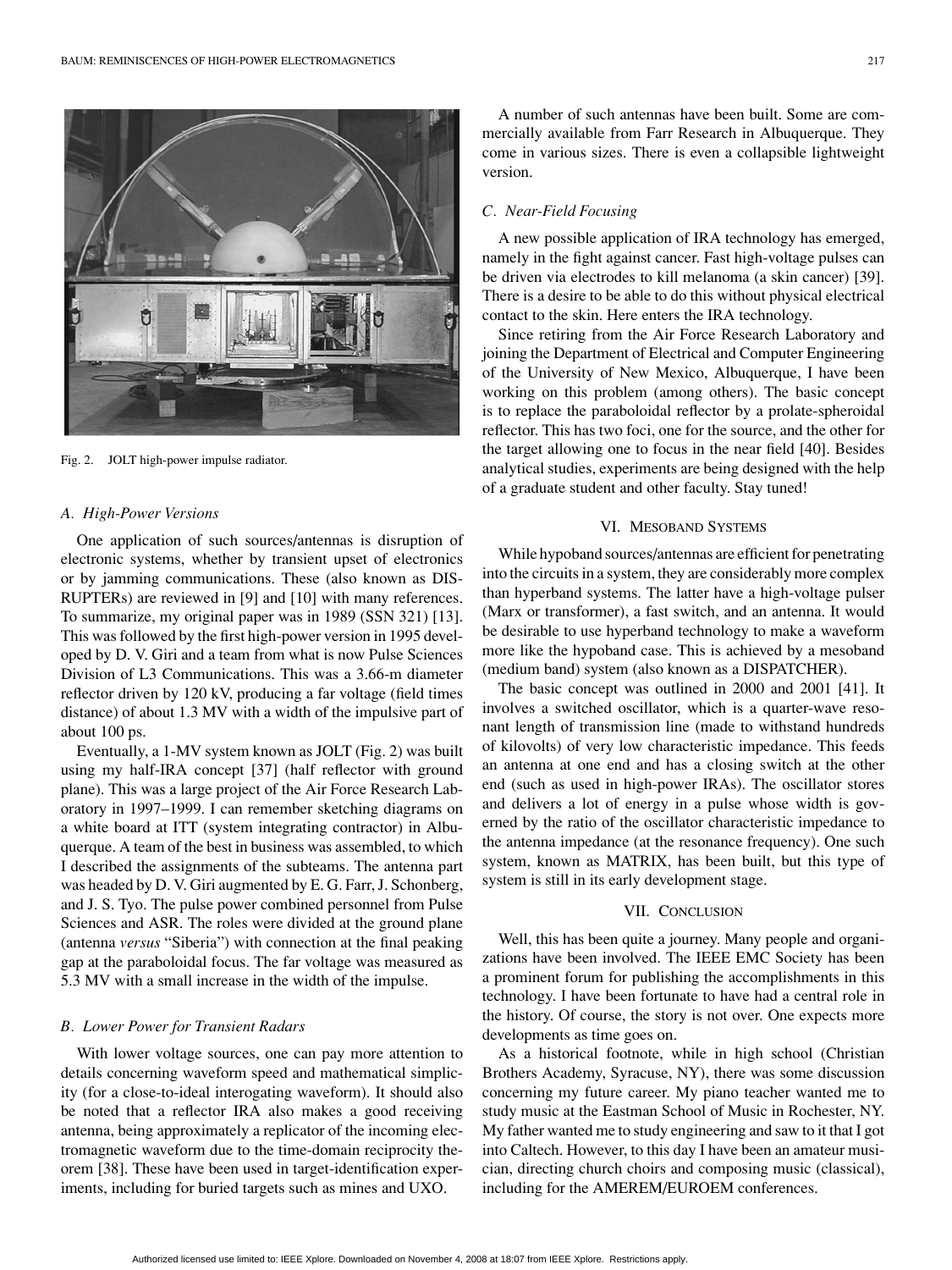

Fig. 2. JOLT high-power impulse radiator.

#### *A. High-Power Versions*

One application of such sources/antennas is disruption of electronic systems, whether by transient upset of electronics or by jamming communications. These (also known as DIS-RUPTERs) are reviewed in [9] and [10] with many references. To summarize, my original paper was in 1989 (SSN 321) [13]. This was followed by the first high-power version in 1995 developed by D. V. Giri and a team from what is now Pulse Sciences Division of L3 Communications. This was a 3.66-m diameter reflector driven by 120 kV, producing a far voltage (field times distance) of about 1.3 MV with a width of the impulsive part of about 100 ps.

Eventually, a 1-MV system known as JOLT (Fig. 2) was built using my half-IRA concept [37] (half reflector with ground plane). This was a large project of the Air Force Research Laboratory in 1997–1999. I can remember sketching diagrams on a white board at ITT (system integrating contractor) in Albuquerque. A team of the best in business was assembled, to which I described the assignments of the subteams. The antenna part was headed by D. V. Giri augmented by E. G. Farr, J. Schonberg, and J. S. Tyo. The pulse power combined personnel from Pulse Sciences and ASR. The roles were divided at the ground plane (antenna *versus* "Siberia") with connection at the final peaking gap at the paraboloidal focus. The far voltage was measured as 5.3 MV with a small increase in the width of the impulse.

### *B. Lower Power for Transient Radars*

With lower voltage sources, one can pay more attention to details concerning waveform speed and mathematical simplicity (for a close-to-ideal interogating waveform). It should also be noted that a reflector IRA also makes a good receiving antenna, being approximately a replicator of the incoming electromagnetic waveform due to the time-domain reciprocity theorem [38]. These have been used in target-identification experiments, including for buried targets such as mines and UXO.

A number of such antennas have been built. Some are commercially available from Farr Research in Albuquerque. They come in various sizes. There is even a collapsible lightweight version.

#### *C. Near-Field Focusing*

A new possible application of IRA technology has emerged, namely in the fight against cancer. Fast high-voltage pulses can be driven via electrodes to kill melanoma (a skin cancer) [39]. There is a desire to be able to do this without physical electrical contact to the skin. Here enters the IRA technology.

Since retiring from the Air Force Research Laboratory and joining the Department of Electrical and Computer Engineering of the University of New Mexico, Albuquerque, I have been working on this problem (among others). The basic concept is to replace the paraboloidal reflector by a prolate-spheroidal reflector. This has two foci, one for the source, and the other for the target allowing one to focus in the near field [40]. Besides analytical studies, experiments are being designed with the help of a graduate student and other faculty. Stay tuned!

# VI. MESOBAND SYSTEMS

While hypoband sources/antennas are efficient for penetrating into the circuits in a system, they are considerably more complex than hyperband systems. The latter have a high-voltage pulser (Marx or transformer), a fast switch, and an antenna. It would be desirable to use hyperband technology to make a waveform more like the hypoband case. This is achieved by a mesoband (medium band) system (also known as a DISPATCHER).

The basic concept was outlined in 2000 and 2001 [41]. It involves a switched oscillator, which is a quarter-wave resonant length of transmission line (made to withstand hundreds of kilovolts) of very low characteristic impedance. This feeds an antenna at one end and has a closing switch at the other end (such as used in high-power IRAs). The oscillator stores and delivers a lot of energy in a pulse whose width is governed by the ratio of the oscillator characteristic impedance to the antenna impedance (at the resonance frequency). One such system, known as MATRIX, has been built, but this type of system is still in its early development stage.

### VII. CONCLUSION

Well, this has been quite a journey. Many people and organizations have been involved. The IEEE EMC Society has been a prominent forum for publishing the accomplishments in this technology. I have been fortunate to have had a central role in the history. Of course, the story is not over. One expects more developments as time goes on.

As a historical footnote, while in high school (Christian Brothers Academy, Syracuse, NY), there was some discussion concerning my future career. My piano teacher wanted me to study music at the Eastman School of Music in Rochester, NY. My father wanted me to study engineering and saw to it that I got into Caltech. However, to this day I have been an amateur musician, directing church choirs and composing music (classical), including for the AMEREM/EUROEM conferences.